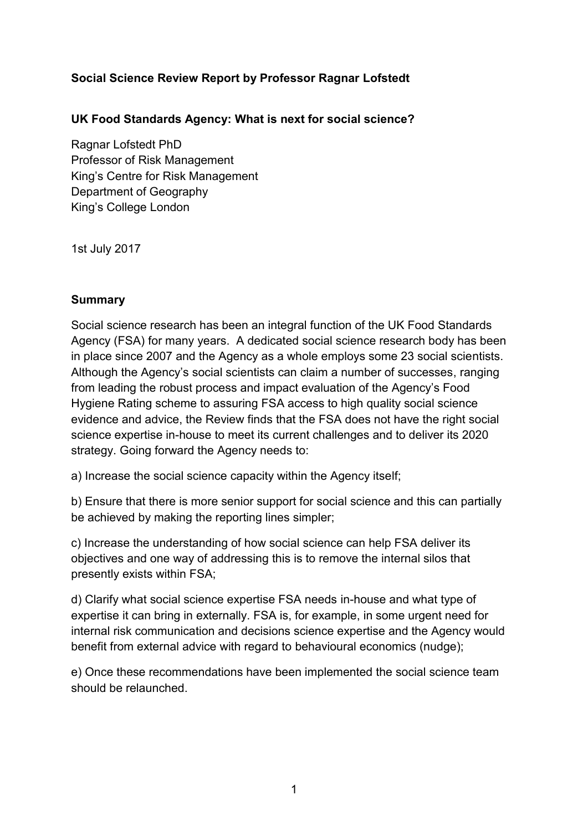### **Social Science Review Report by Professor Ragnar Lofstedt**

**UK Food Standards Agency: What is next for social science?**

Ragnar Lofstedt PhD Professor of Risk Management King's Centre for Risk Management Department of Geography King's College London

1st July 2017

#### **Summary**

Social science research has been an integral function of the UK Food Standards Agency (FSA) for many years. A dedicated social science research body has been in place since 2007 and the Agency as a whole employs some 23 social scientists. Although the Agency's social scientists can claim a number of successes, ranging from leading the robust process and impact evaluation of the Agency's Food Hygiene Rating scheme to assuring FSA access to high quality social science evidence and advice, the Review finds that the FSA does not have the right social science expertise in-house to meet its current challenges and to deliver its 2020 strategy. Going forward the Agency needs to:

a) Increase the social science capacity within the Agency itself;

b) Ensure that there is more senior support for social science and this can partially be achieved by making the reporting lines simpler;

c) Increase the understanding of how social science can help FSA deliver its objectives and one way of addressing this is to remove the internal silos that presently exists within FSA;

d) Clarify what social science expertise FSA needs in-house and what type of expertise it can bring in externally. FSA is, for example, in some urgent need for internal risk communication and decisions science expertise and the Agency would benefit from external advice with regard to behavioural economics (nudge);

e) Once these recommendations have been implemented the social science team should be relaunched.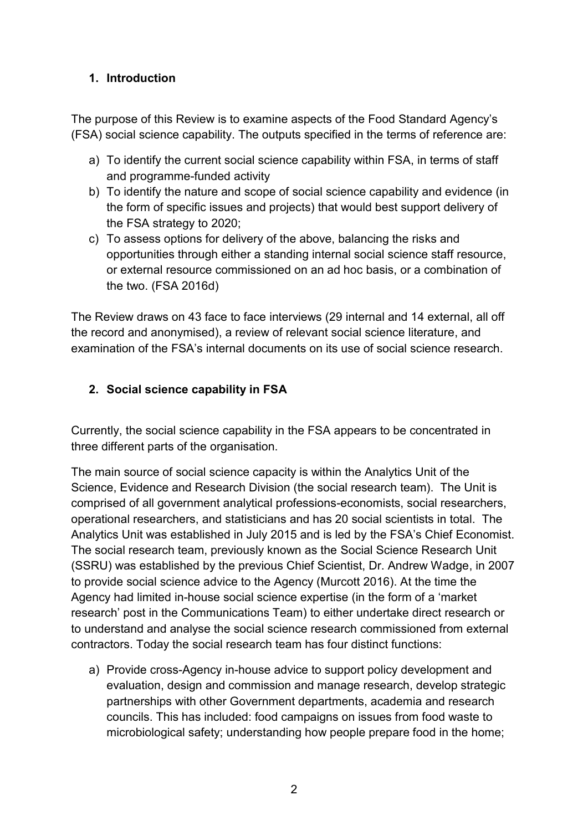# **1. Introduction**

The purpose of this Review is to examine aspects of the Food Standard Agency's (FSA) social science capability. The outputs specified in the terms of reference are:

- a) To identify the current social science capability within FSA, in terms of staff and programme-funded activity
- b) To identify the nature and scope of social science capability and evidence (in the form of specific issues and projects) that would best support delivery of the FSA strategy to 2020;
- c) To assess options for delivery of the above, balancing the risks and opportunities through either a standing internal social science staff resource, or external resource commissioned on an ad hoc basis, or a combination of the two. (FSA 2016d)

The Review draws on 43 face to face interviews (29 internal and 14 external, all off the record and anonymised), a review of relevant social science literature, and examination of the FSA's internal documents on its use of social science research.

# **2. Social science capability in FSA**

Currently, the social science capability in the FSA appears to be concentrated in three different parts of the organisation.

The main source of social science capacity is within the Analytics Unit of the Science, Evidence and Research Division (the social research team). The Unit is comprised of all government analytical professions-economists, social researchers, operational researchers, and statisticians and has 20 social scientists in total. The Analytics Unit was established in July 2015 and is led by the FSA's Chief Economist. The social research team, previously known as the Social Science Research Unit (SSRU) was established by the previous Chief Scientist, Dr. Andrew Wadge, in 2007 to provide social science advice to the Agency (Murcott 2016). At the time the Agency had limited in-house social science expertise (in the form of a 'market research' post in the Communications Team) to either undertake direct research or to understand and analyse the social science research commissioned from external contractors. Today the social research team has four distinct functions:

a) Provide cross-Agency in-house advice to support policy development and evaluation, design and commission and manage research, develop strategic partnerships with other Government departments, academia and research councils. This has included: food campaigns on issues from food waste to microbiological safety; understanding how people prepare food in the home;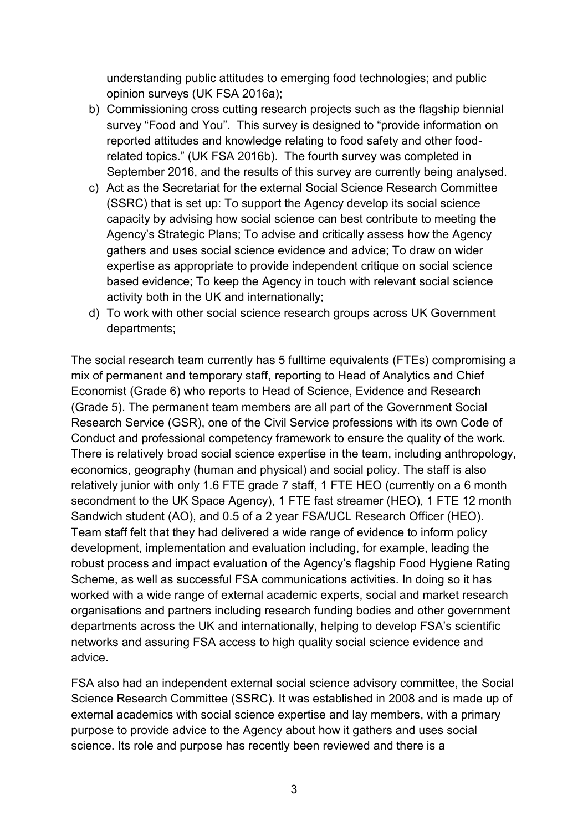understanding public attitudes to emerging food technologies; and public opinion surveys (UK FSA 2016a);

- b) Commissioning cross cutting research projects such as the flagship biennial survey "Food and You". This survey is designed to "provide information on reported attitudes and knowledge relating to food safety and other foodrelated topics." (UK FSA 2016b). The fourth survey was completed in September 2016, and the results of this survey are currently being analysed.
- c) Act as the Secretariat for the external Social Science Research Committee (SSRC) that is set up: To support the Agency develop its social science capacity by advising how social science can best contribute to meeting the Agency's Strategic Plans; To advise and critically assess how the Agency gathers and uses social science evidence and advice; To draw on wider expertise as appropriate to provide independent critique on social science based evidence; To keep the Agency in touch with relevant social science activity both in the UK and internationally;
- d) To work with other social science research groups across UK Government departments;

The social research team currently has 5 fulltime equivalents (FTEs) compromising a mix of permanent and temporary staff, reporting to Head of Analytics and Chief Economist (Grade 6) who reports to Head of Science, Evidence and Research (Grade 5). The permanent team members are all part of the Government Social Research Service (GSR), one of the Civil Service professions with its own Code of Conduct and professional competency framework to ensure the quality of the work. There is relatively broad social science expertise in the team, including anthropology, economics, geography (human and physical) and social policy. The staff is also relatively junior with only 1.6 FTE grade 7 staff, 1 FTE HEO (currently on a 6 month secondment to the UK Space Agency), 1 FTE fast streamer (HEO), 1 FTE 12 month Sandwich student (AO), and 0.5 of a 2 year FSA/UCL Research Officer (HEO). Team staff felt that they had delivered a wide range of evidence to inform policy development, implementation and evaluation including, for example, leading the robust process and impact evaluation of the Agency's flagship Food Hygiene Rating Scheme, as well as successful FSA communications activities. In doing so it has worked with a wide range of external academic experts, social and market research organisations and partners including research funding bodies and other government departments across the UK and internationally, helping to develop FSA's scientific networks and assuring FSA access to high quality social science evidence and advice.

FSA also had an independent external social science advisory committee, the Social Science Research Committee (SSRC). It was established in 2008 and is made up of external academics with social science expertise and lay members, with a primary purpose to provide advice to the Agency about how it gathers and uses social science. Its role and purpose has recently been reviewed and there is a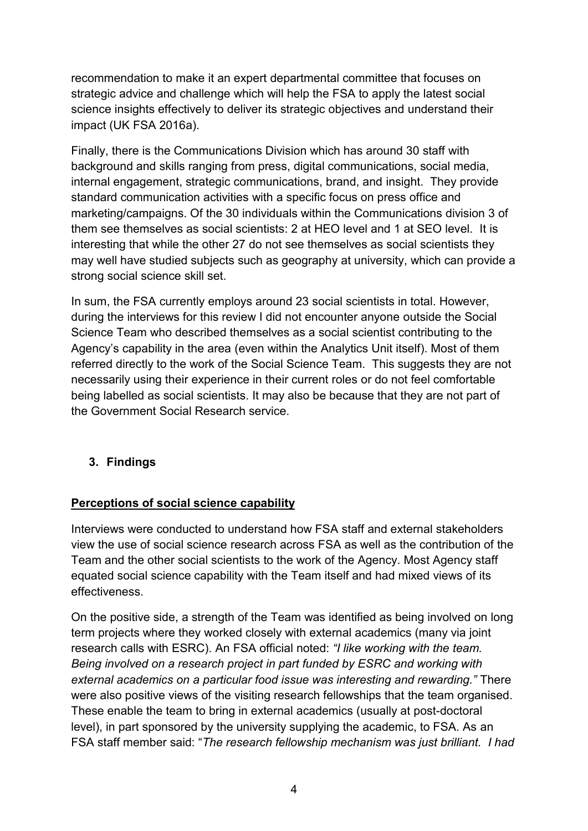recommendation to make it an expert departmental committee that focuses on strategic advice and challenge which will help the FSA to apply the latest social science insights effectively to deliver its strategic objectives and understand their impact (UK FSA 2016a).

Finally, there is the Communications Division which has around 30 staff with background and skills ranging from press, digital communications, social media, internal engagement, strategic communications, brand, and insight. They provide standard communication activities with a specific focus on press office and marketing/campaigns. Of the 30 individuals within the Communications division 3 of them see themselves as social scientists: 2 at HEO level and 1 at SEO level. It is interesting that while the other 27 do not see themselves as social scientists they may well have studied subjects such as geography at university, which can provide a strong social science skill set.

In sum, the FSA currently employs around 23 social scientists in total. However, during the interviews for this review I did not encounter anyone outside the Social Science Team who described themselves as a social scientist contributing to the Agency's capability in the area (even within the Analytics Unit itself). Most of them referred directly to the work of the Social Science Team. This suggests they are not necessarily using their experience in their current roles or do not feel comfortable being labelled as social scientists. It may also be because that they are not part of the Government Social Research service.

### **3. Findings**

#### **Perceptions of social science capability**

Interviews were conducted to understand how FSA staff and external stakeholders view the use of social science research across FSA as well as the contribution of the Team and the other social scientists to the work of the Agency. Most Agency staff equated social science capability with the Team itself and had mixed views of its effectiveness.

On the positive side, a strength of the Team was identified as being involved on long term projects where they worked closely with external academics (many via joint research calls with ESRC). An FSA official noted: *"I like working with the team. Being involved on a research project in part funded by ESRC and working with external academics on a particular food issue was interesting and rewarding."* There were also positive views of the visiting research fellowships that the team organised. These enable the team to bring in external academics (usually at post-doctoral level), in part sponsored by the university supplying the academic, to FSA. As an FSA staff member said: "*The research fellowship mechanism was just brilliant. I had*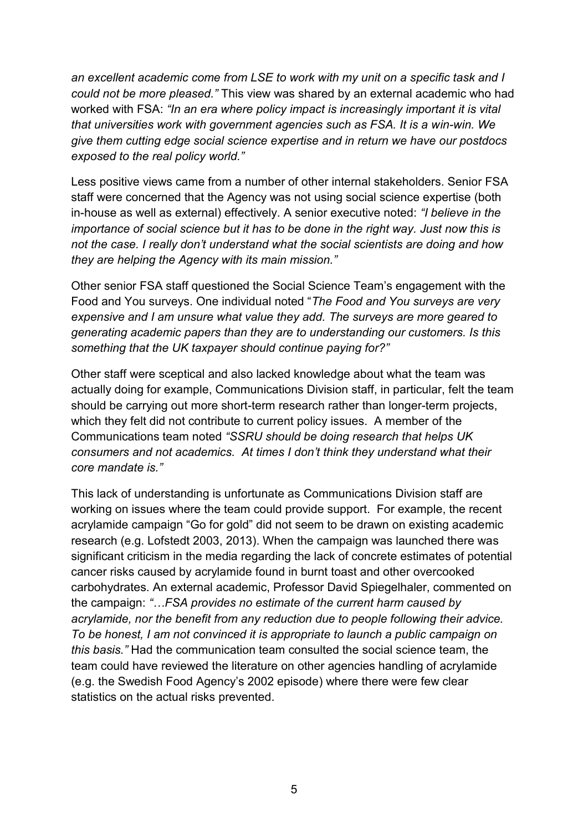*an excellent academic come from LSE to work with my unit on a specific task and I could not be more pleased."* This view was shared by an external academic who had worked with FSA: *"In an era where policy impact is increasingly important it is vital that universities work with government agencies such as FSA. It is a win-win. We give them cutting edge social science expertise and in return we have our postdocs exposed to the real policy world."* 

Less positive views came from a number of other internal stakeholders. Senior FSA staff were concerned that the Agency was not using social science expertise (both in-house as well as external) effectively. A senior executive noted: *"I believe in the importance of social science but it has to be done in the right way. Just now this is not the case. I really don't understand what the social scientists are doing and how they are helping the Agency with its main mission."*

Other senior FSA staff questioned the Social Science Team's engagement with the Food and You surveys. One individual noted "*The Food and You surveys are very expensive and I am unsure what value they add. The surveys are more geared to generating academic papers than they are to understanding our customers. Is this something that the UK taxpayer should continue paying for?"*

Other staff were sceptical and also lacked knowledge about what the team was actually doing for example, Communications Division staff, in particular, felt the team should be carrying out more short-term research rather than longer-term projects, which they felt did not contribute to current policy issues. A member of the Communications team noted *"SSRU should be doing research that helps UK consumers and not academics. At times I don't think they understand what their core mandate is."*

This lack of understanding is unfortunate as Communications Division staff are working on issues where the team could provide support. For example, the recent acrylamide campaign "Go for gold" did not seem to be drawn on existing academic research (e.g. Lofstedt 2003, 2013). When the campaign was launched there was significant criticism in the media regarding the lack of concrete estimates of potential cancer risks caused by acrylamide found in burnt toast and other overcooked carbohydrates. An external academic, Professor David Spiegelhaler, commented on the campaign: *"…FSA provides no estimate of the current harm caused by acrylamide, nor the benefit from any reduction due to people following their advice. To be honest, I am not convinced it is appropriate to launch a public campaign on this basis."* Had the communication team consulted the social science team, the team could have reviewed the literature on other agencies handling of acrylamide (e.g. the Swedish Food Agency's 2002 episode) where there were few clear statistics on the actual risks prevented.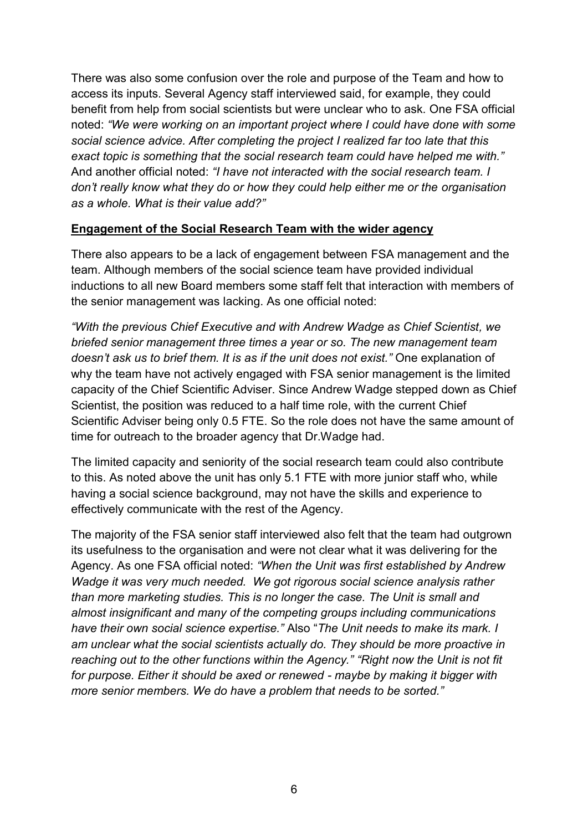There was also some confusion over the role and purpose of the Team and how to access its inputs. Several Agency staff interviewed said, for example, they could benefit from help from social scientists but were unclear who to ask. One FSA official noted: *"We were working on an important project where I could have done with some social science advice. After completing the project I realized far too late that this exact topic is something that the social research team could have helped me with."*  And another official noted: *"I have not interacted with the social research team. I don't really know what they do or how they could help either me or the organisation as a whole. What is their value add?"*

#### **Engagement of the Social Research Team with the wider agency**

There also appears to be a lack of engagement between FSA management and the team. Although members of the social science team have provided individual inductions to all new Board members some staff felt that interaction with members of the senior management was lacking. As one official noted:

*"With the previous Chief Executive and with Andrew Wadge as Chief Scientist, we briefed senior management three times a year or so. The new management team doesn't ask us to brief them. It is as if the unit does not exist."* One explanation of why the team have not actively engaged with FSA senior management is the limited capacity of the Chief Scientific Adviser. Since Andrew Wadge stepped down as Chief Scientist, the position was reduced to a half time role, with the current Chief Scientific Adviser being only 0.5 FTE. So the role does not have the same amount of time for outreach to the broader agency that Dr.Wadge had.

The limited capacity and seniority of the social research team could also contribute to this. As noted above the unit has only 5.1 FTE with more junior staff who, while having a social science background, may not have the skills and experience to effectively communicate with the rest of the Agency.

The majority of the FSA senior staff interviewed also felt that the team had outgrown its usefulness to the organisation and were not clear what it was delivering for the Agency. As one FSA official noted: *"When the Unit was first established by Andrew Wadge it was very much needed. We got rigorous social science analysis rather than more marketing studies. This is no longer the case. The Unit is small and almost insignificant and many of the competing groups including communications have their own social science expertise."* Also "*The Unit needs to make its mark. I am unclear what the social scientists actually do. They should be more proactive in reaching out to the other functions within the Agency." "Right now the Unit is not fit for purpose. Either it should be axed or renewed - maybe by making it bigger with more senior members. We do have a problem that needs to be sorted."*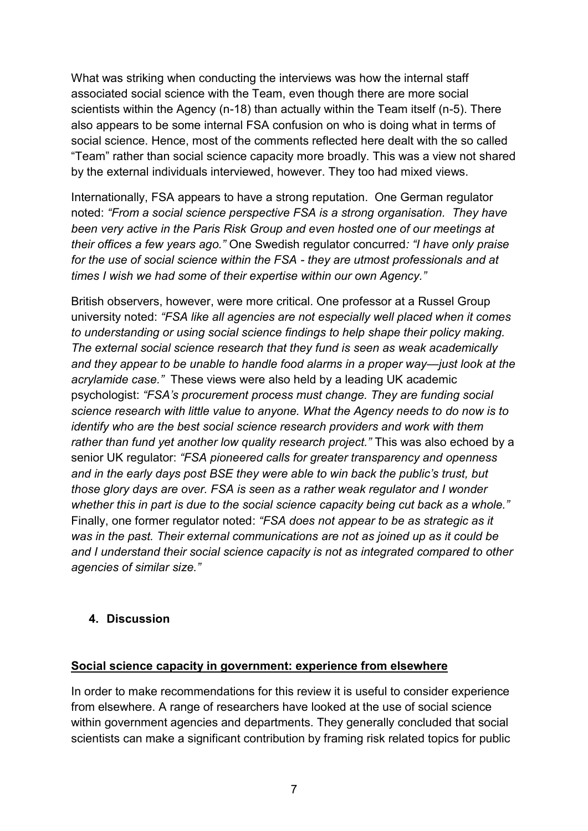What was striking when conducting the interviews was how the internal staff associated social science with the Team, even though there are more social scientists within the Agency (n-18) than actually within the Team itself (n-5). There also appears to be some internal FSA confusion on who is doing what in terms of social science. Hence, most of the comments reflected here dealt with the so called "Team" rather than social science capacity more broadly. This was a view not shared by the external individuals interviewed, however. They too had mixed views.

Internationally, FSA appears to have a strong reputation. One German regulator noted: *"From a social science perspective FSA is a strong organisation. They have been very active in the Paris Risk Group and even hosted one of our meetings at their offices a few years ago."* One Swedish regulator concurred*: "I have only praise for the use of social science within the FSA - they are utmost professionals and at times I wish we had some of their expertise within our own Agency."*

British observers, however, were more critical. One professor at a Russel Group university noted: *"FSA like all agencies are not especially well placed when it comes to understanding or using social science findings to help shape their policy making. The external social science research that they fund is seen as weak academically and they appear to be unable to handle food alarms in a proper way—just look at the acrylamide case."* These views were also held by a leading UK academic psychologist: *"FSA's procurement process must change. They are funding social science research with little value to anyone. What the Agency needs to do now is to identify who are the best social science research providers and work with them rather than fund yet another low quality research project."* This was also echoed by a senior UK regulator: *"FSA pioneered calls for greater transparency and openness and in the early days post BSE they were able to win back the public's trust, but those glory days are over. FSA is seen as a rather weak regulator and I wonder whether this in part is due to the social science capacity being cut back as a whole."* Finally, one former regulator noted: *"FSA does not appear to be as strategic as it was in the past. Their external communications are not as joined up as it could be and I understand their social science capacity is not as integrated compared to other agencies of similar size."*

#### **4. Discussion**

#### **Social science capacity in government: experience from elsewhere**

In order to make recommendations for this review it is useful to consider experience from elsewhere. A range of researchers have looked at the use of social science within government agencies and departments. They generally concluded that social scientists can make a significant contribution by framing risk related topics for public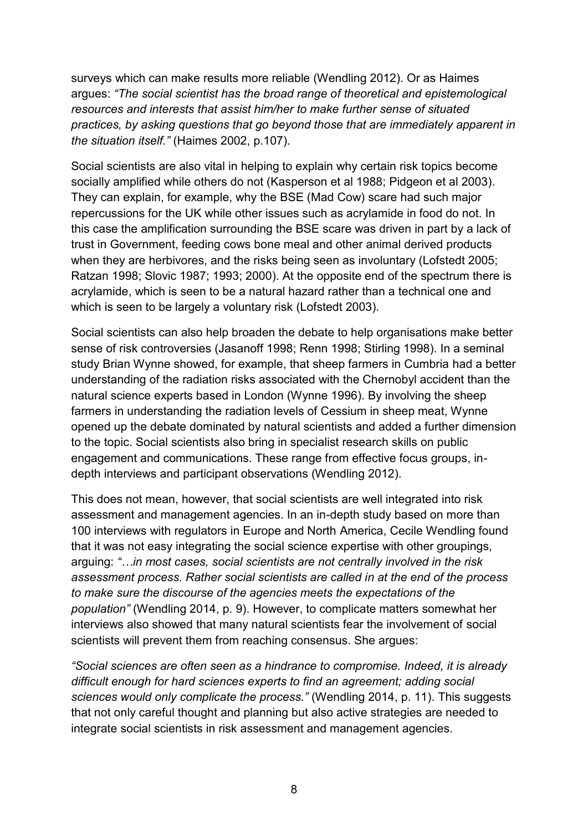surveys which can make results more reliable (Wendling 2012). Or as Haimes argues: *"The social scientist has the broad range of theoretical and epistemological resources and interests that assist him/her to make further sense of situated practices, by asking questions that go beyond those that are immediately apparent in the situation itself."* (Haimes 2002, p.107).

Social scientists are also vital in helping to explain why certain risk topics become socially amplified while others do not (Kasperson et al 1988; Pidgeon et al 2003). They can explain, for example, why the BSE (Mad Cow) scare had such major repercussions for the UK while other issues such as acrylamide in food do not. In this case the amplification surrounding the BSE scare was driven in part by a lack of trust in Government, feeding cows bone meal and other animal derived products when they are herbivores, and the risks being seen as involuntary (Lofstedt 2005; Ratzan 1998; Slovic 1987; 1993; 2000). At the opposite end of the spectrum there is acrylamide, which is seen to be a natural hazard rather than a technical one and which is seen to be largely a voluntary risk (Lofstedt 2003).

Social scientists can also help broaden the debate to help organisations make better sense of risk controversies (Jasanoff 1998; Renn 1998; Stirling 1998). In a seminal study Brian Wynne showed, for example, that sheep farmers in Cumbria had a better understanding of the radiation risks associated with the Chernobyl accident than the natural science experts based in London (Wynne 1996). By involving the sheep farmers in understanding the radiation levels of Cessium in sheep meat, Wynne opened up the debate dominated by natural scientists and added a further dimension to the topic. Social scientists also bring in specialist research skills on public engagement and communications. These range from effective focus groups, indepth interviews and participant observations (Wendling 2012).

This does not mean, however, that social scientists are well integrated into risk assessment and management agencies. In an in-depth study based on more than 100 interviews with regulators in Europe and North America, Cecile Wendling found that it was not easy integrating the social science expertise with other groupings, arguing: *"…in most cases, social scientists are not centrally involved in the risk assessment process. Rather social scientists are called in at the end of the process to make sure the discourse of the agencies meets the expectations of the population"* (Wendling 2014, p. 9). However, to complicate matters somewhat her interviews also showed that many natural scientists fear the involvement of social scientists will prevent them from reaching consensus. She argues:

*"Social sciences are often seen as a hindrance to compromise. Indeed, it is already difficult enough for hard sciences experts to find an agreement; adding social sciences would only complicate the process."* (Wendling 2014, p. 11). This suggests that not only careful thought and planning but also active strategies are needed to integrate social scientists in risk assessment and management agencies.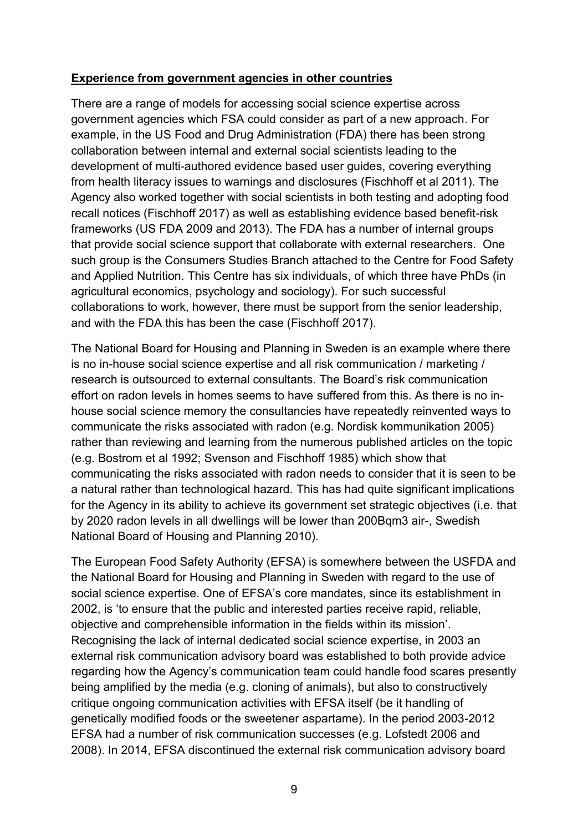#### **Experience from government agencies in other countries**

There are a range of models for accessing social science expertise across government agencies which FSA could consider as part of a new approach. For example, in the US Food and Drug Administration (FDA) there has been strong collaboration between internal and external social scientists leading to the development of multi-authored evidence based user guides, covering everything from health literacy issues to warnings and disclosures (Fischhoff et al 2011). The Agency also worked together with social scientists in both testing and adopting food recall notices (Fischhoff 2017) as well as establishing evidence based benefit-risk frameworks (US FDA 2009 and 2013). The FDA has a number of internal groups that provide social science support that collaborate with external researchers. One such group is the Consumers Studies Branch attached to the Centre for Food Safety and Applied Nutrition. This Centre has six individuals, of which three have PhDs (in agricultural economics, psychology and sociology). For such successful collaborations to work, however, there must be support from the senior leadership, and with the FDA this has been the case (Fischhoff 2017).

The National Board for Housing and Planning in Sweden is an example where there is no in-house social science expertise and all risk communication / marketing / research is outsourced to external consultants. The Board's risk communication effort on radon levels in homes seems to have suffered from this. As there is no inhouse social science memory the consultancies have repeatedly reinvented ways to communicate the risks associated with radon (e.g. Nordisk kommunikation 2005) rather than reviewing and learning from the numerous published articles on the topic (e.g. Bostrom et al 1992; Svenson and Fischhoff 1985) which show that communicating the risks associated with radon needs to consider that it is seen to be a natural rather than technological hazard. This has had quite significant implications for the Agency in its ability to achieve its government set strategic objectives (i.e. that by 2020 radon levels in all dwellings will be lower than 200Bqm3 air-, Swedish National Board of Housing and Planning 2010).

The European Food Safety Authority (EFSA) is somewhere between the USFDA and the National Board for Housing and Planning in Sweden with regard to the use of social science expertise. One of EFSA's core mandates, since its establishment in 2002, is 'to ensure that the public and interested parties receive rapid, reliable, objective and comprehensible information in the fields within its mission'. Recognising the lack of internal dedicated social science expertise, in 2003 an external risk communication advisory board was established to both provide advice regarding how the Agency's communication team could handle food scares presently being amplified by the media (e.g. cloning of animals), but also to constructively critique ongoing communication activities with EFSA itself (be it handling of genetically modified foods or the sweetener aspartame). In the period 2003-2012 EFSA had a number of risk communication successes (e.g. Lofstedt 2006 and 2008). In 2014, EFSA discontinued the external risk communication advisory board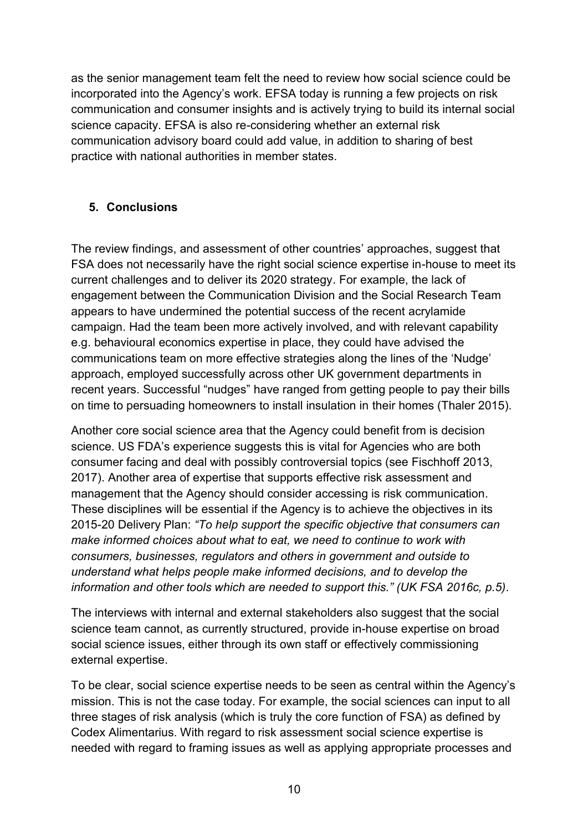as the senior management team felt the need to review how social science could be incorporated into the Agency's work. EFSA today is running a few projects on risk communication and consumer insights and is actively trying to build its internal social science capacity. EFSA is also re-considering whether an external risk communication advisory board could add value, in addition to sharing of best practice with national authorities in member states.

### **5. Conclusions**

The review findings, and assessment of other countries' approaches, suggest that FSA does not necessarily have the right social science expertise in-house to meet its current challenges and to deliver its 2020 strategy. For example, the lack of engagement between the Communication Division and the Social Research Team appears to have undermined the potential success of the recent acrylamide campaign. Had the team been more actively involved, and with relevant capability e.g. behavioural economics expertise in place, they could have advised the communications team on more effective strategies along the lines of the 'Nudge' approach, employed successfully across other UK government departments in recent years. Successful "nudges" have ranged from getting people to pay their bills on time to persuading homeowners to install insulation in their homes (Thaler 2015).

Another core social science area that the Agency could benefit from is decision science. US FDA's experience suggests this is vital for Agencies who are both consumer facing and deal with possibly controversial topics (see Fischhoff 2013, 2017). Another area of expertise that supports effective risk assessment and management that the Agency should consider accessing is risk communication. These disciplines will be essential if the Agency is to achieve the objectives in its 2015-20 Delivery Plan: *"To help support the specific objective that consumers can make informed choices about what to eat, we need to continue to work with consumers, businesses, regulators and others in government and outside to understand what helps people make informed decisions, and to develop the information and other tools which are needed to support this." (UK FSA 2016c, p.5).*

The interviews with internal and external stakeholders also suggest that the social science team cannot, as currently structured, provide in-house expertise on broad social science issues, either through its own staff or effectively commissioning external expertise.

To be clear, social science expertise needs to be seen as central within the Agency's mission. This is not the case today. For example, the social sciences can input to all three stages of risk analysis (which is truly the core function of FSA) as defined by Codex Alimentarius. With regard to risk assessment social science expertise is needed with regard to framing issues as well as applying appropriate processes and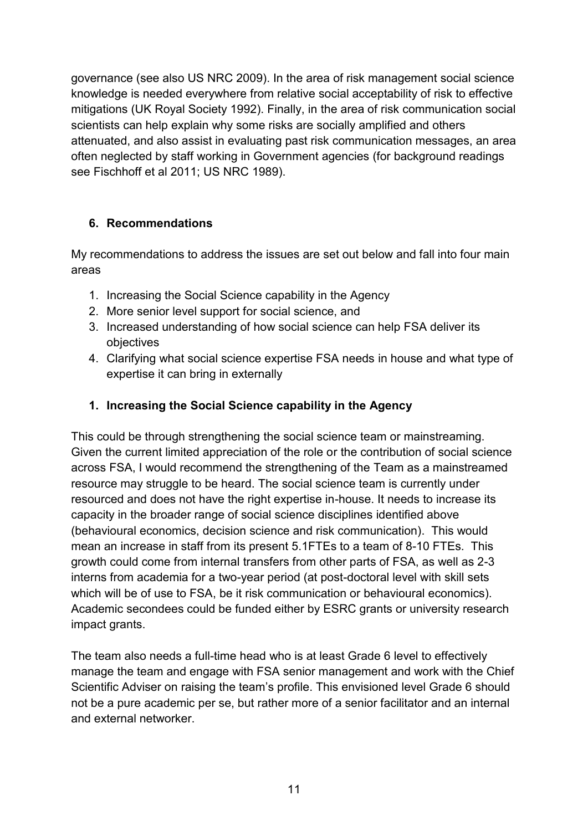governance (see also US NRC 2009). In the area of risk management social science knowledge is needed everywhere from relative social acceptability of risk to effective mitigations (UK Royal Society 1992). Finally, in the area of risk communication social scientists can help explain why some risks are socially amplified and others attenuated, and also assist in evaluating past risk communication messages, an area often neglected by staff working in Government agencies (for background readings see Fischhoff et al 2011; US NRC 1989).

### **6. Recommendations**

My recommendations to address the issues are set out below and fall into four main areas

- 1. Increasing the Social Science capability in the Agency
- 2. More senior level support for social science, and
- 3. Increased understanding of how social science can help FSA deliver its objectives
- 4. Clarifying what social science expertise FSA needs in house and what type of expertise it can bring in externally

# **1. Increasing the Social Science capability in the Agency**

This could be through strengthening the social science team or mainstreaming. Given the current limited appreciation of the role or the contribution of social science across FSA, I would recommend the strengthening of the Team as a mainstreamed resource may struggle to be heard. The social science team is currently under resourced and does not have the right expertise in-house. It needs to increase its capacity in the broader range of social science disciplines identified above (behavioural economics, decision science and risk communication). This would mean an increase in staff from its present 5.1FTEs to a team of 8-10 FTEs. This growth could come from internal transfers from other parts of FSA, as well as 2-3 interns from academia for a two-year period (at post-doctoral level with skill sets which will be of use to FSA, be it risk communication or behavioural economics). Academic secondees could be funded either by ESRC grants or university research impact grants.

The team also needs a full-time head who is at least Grade 6 level to effectively manage the team and engage with FSA senior management and work with the Chief Scientific Adviser on raising the team's profile. This envisioned level Grade 6 should not be a pure academic per se, but rather more of a senior facilitator and an internal and external networker.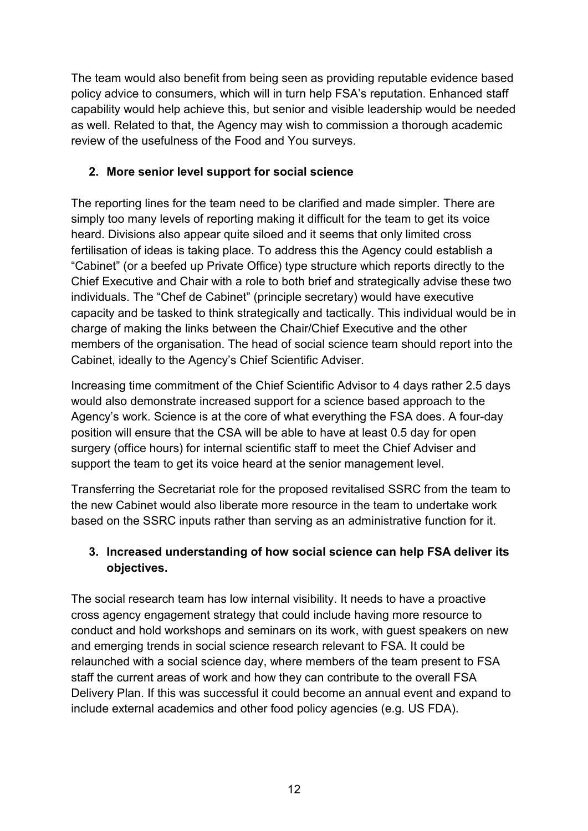The team would also benefit from being seen as providing reputable evidence based policy advice to consumers, which will in turn help FSA's reputation. Enhanced staff capability would help achieve this, but senior and visible leadership would be needed as well. Related to that, the Agency may wish to commission a thorough academic review of the usefulness of the Food and You surveys.

## **2. More senior level support for social science**

The reporting lines for the team need to be clarified and made simpler. There are simply too many levels of reporting making it difficult for the team to get its voice heard. Divisions also appear quite siloed and it seems that only limited cross fertilisation of ideas is taking place. To address this the Agency could establish a "Cabinet" (or a beefed up Private Office) type structure which reports directly to the Chief Executive and Chair with a role to both brief and strategically advise these two individuals. The "Chef de Cabinet" (principle secretary) would have executive capacity and be tasked to think strategically and tactically. This individual would be in charge of making the links between the Chair/Chief Executive and the other members of the organisation. The head of social science team should report into the Cabinet, ideally to the Agency's Chief Scientific Adviser.

Increasing time commitment of the Chief Scientific Advisor to 4 days rather 2.5 days would also demonstrate increased support for a science based approach to the Agency's work. Science is at the core of what everything the FSA does. A four-day position will ensure that the CSA will be able to have at least 0.5 day for open surgery (office hours) for internal scientific staff to meet the Chief Adviser and support the team to get its voice heard at the senior management level.

Transferring the Secretariat role for the proposed revitalised SSRC from the team to the new Cabinet would also liberate more resource in the team to undertake work based on the SSRC inputs rather than serving as an administrative function for it.

# **3. Increased understanding of how social science can help FSA deliver its objectives.**

The social research team has low internal visibility. It needs to have a proactive cross agency engagement strategy that could include having more resource to conduct and hold workshops and seminars on its work, with guest speakers on new and emerging trends in social science research relevant to FSA. It could be relaunched with a social science day, where members of the team present to FSA staff the current areas of work and how they can contribute to the overall FSA Delivery Plan. If this was successful it could become an annual event and expand to include external academics and other food policy agencies (e.g. US FDA).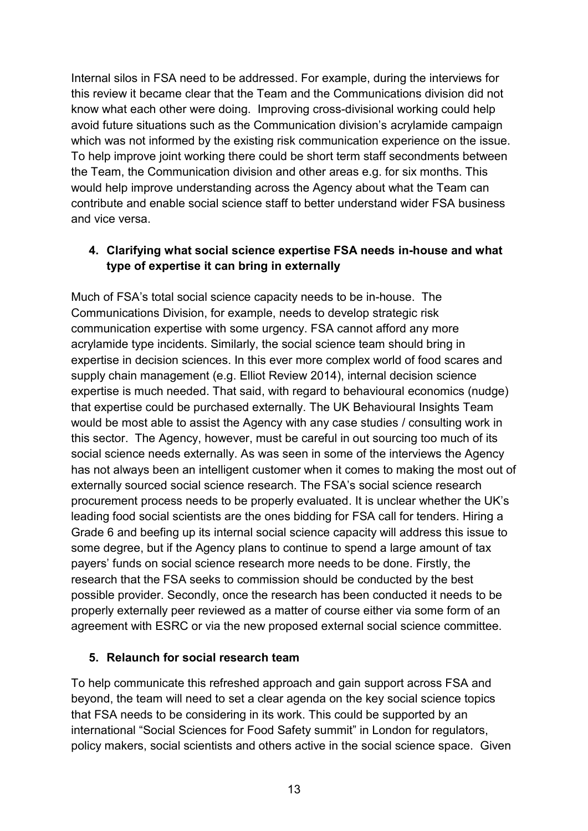Internal silos in FSA need to be addressed. For example, during the interviews for this review it became clear that the Team and the Communications division did not know what each other were doing. Improving cross-divisional working could help avoid future situations such as the Communication division's acrylamide campaign which was not informed by the existing risk communication experience on the issue. To help improve joint working there could be short term staff secondments between the Team, the Communication division and other areas e.g. for six months. This would help improve understanding across the Agency about what the Team can contribute and enable social science staff to better understand wider FSA business and vice versa.

### **4. Clarifying what social science expertise FSA needs in-house and what type of expertise it can bring in externally**

Much of FSA's total social science capacity needs to be in-house. The Communications Division, for example, needs to develop strategic risk communication expertise with some urgency. FSA cannot afford any more acrylamide type incidents. Similarly, the social science team should bring in expertise in decision sciences. In this ever more complex world of food scares and supply chain management (e.g. Elliot Review 2014), internal decision science expertise is much needed. That said, with regard to behavioural economics (nudge) that expertise could be purchased externally. The UK Behavioural Insights Team would be most able to assist the Agency with any case studies / consulting work in this sector. The Agency, however, must be careful in out sourcing too much of its social science needs externally. As was seen in some of the interviews the Agency has not always been an intelligent customer when it comes to making the most out of externally sourced social science research. The FSA's social science research procurement process needs to be properly evaluated. It is unclear whether the UK's leading food social scientists are the ones bidding for FSA call for tenders. Hiring a Grade 6 and beefing up its internal social science capacity will address this issue to some degree, but if the Agency plans to continue to spend a large amount of tax payers' funds on social science research more needs to be done. Firstly, the research that the FSA seeks to commission should be conducted by the best possible provider. Secondly, once the research has been conducted it needs to be properly externally peer reviewed as a matter of course either via some form of an agreement with ESRC or via the new proposed external social science committee.

### **5. Relaunch for social research team**

To help communicate this refreshed approach and gain support across FSA and beyond, the team will need to set a clear agenda on the key social science topics that FSA needs to be considering in its work. This could be supported by an international "Social Sciences for Food Safety summit" in London for regulators, policy makers, social scientists and others active in the social science space. Given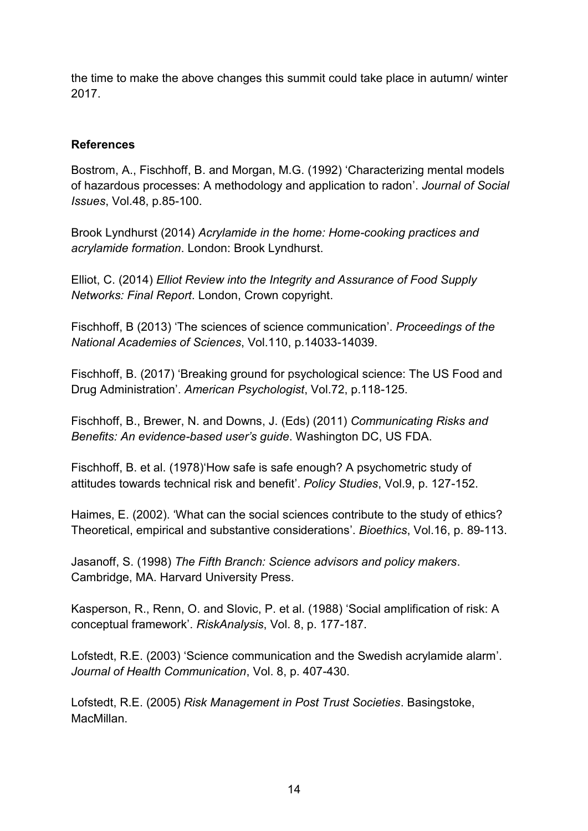the time to make the above changes this summit could take place in autumn/ winter 2017.

#### **References**

Bostrom, A., Fischhoff, B. and Morgan, M.G. (1992) 'Characterizing mental models of hazardous processes: A methodology and application to radon'. *Journal of Social Issues*, Vol.48, p.85-100.

Brook Lyndhurst (2014) *Acrylamide in the home: Home-cooking practices and acrylamide formation*. London: Brook Lyndhurst.

Elliot, C. (2014) *Elliot Review into the Integrity and Assurance of Food Supply Networks: Final Report*. London, Crown copyright.

Fischhoff, B (2013) 'The sciences of science communication'. *Proceedings of the National Academies of Sciences*, Vol.110, p.14033-14039.

Fischhoff, B. (2017) 'Breaking ground for psychological science: The US Food and Drug Administration'. *American Psychologist*, Vol.72, p.118-125.

Fischhoff, B., Brewer, N. and Downs, J. (Eds) (2011) *Communicating Risks and Benefits: An evidence-based user's guide*. Washington DC, US FDA.

Fischhoff, B. et al. (1978)'How safe is safe enough? A psychometric study of attitudes towards technical risk and benefit'. *Policy Studies*, Vol.9, p. 127-152.

Haimes, E. (2002). 'What can the social sciences contribute to the study of ethics? Theoretical, empirical and substantive considerations'. *Bioethics*, Vol.16, p. 89-113.

Jasanoff, S. (1998) *The Fifth Branch: Science advisors and policy makers*. Cambridge, MA. Harvard University Press.

Kasperson, R., Renn, O. and Slovic, P. et al. (1988) 'Social amplification of risk: A conceptual framework'. *RiskAnalysis*, Vol. 8, p. 177-187.

Lofstedt, R.E. (2003) 'Science communication and the Swedish acrylamide alarm'. *Journal of Health Communication*, Vol. 8, p. 407-430.

Lofstedt, R.E. (2005) *Risk Management in Post Trust Societies*. Basingstoke, MacMillan.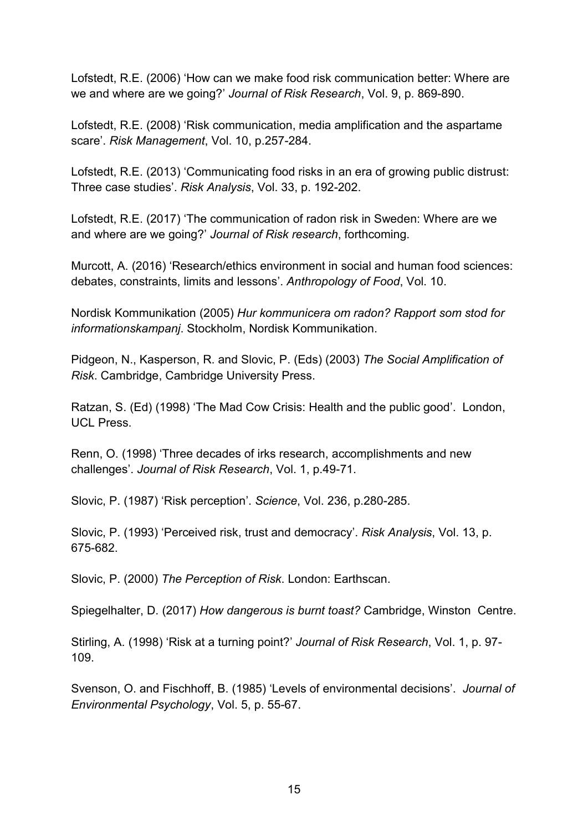Lofstedt, R.E. (2006) 'How can we make food risk communication better: Where are we and where are we going?' *Journal of Risk Research*, Vol. 9, p. 869-890.

Lofstedt, R.E. (2008) 'Risk communication, media amplification and the aspartame scare'. *Risk Management*, Vol. 10, p.257-284.

Lofstedt, R.E. (2013) 'Communicating food risks in an era of growing public distrust: Three case studies'. *Risk Analysis*, Vol. 33, p. 192-202.

Lofstedt, R.E. (2017) 'The communication of radon risk in Sweden: Where are we and where are we going?' *Journal of Risk research*, forthcoming.

Murcott, A. (2016) 'Research/ethics environment in social and human food sciences: debates, constraints, limits and lessons'. *Anthropology of Food*, Vol. 10.

Nordisk Kommunikation (2005) *Hur kommunicera om radon? Rapport som stod for informationskampanj*. Stockholm, Nordisk Kommunikation.

Pidgeon, N., Kasperson, R. and Slovic, P. (Eds) (2003) *The Social Amplification of Risk*. Cambridge, Cambridge University Press.

Ratzan, S. (Ed) (1998) 'The Mad Cow Crisis: Health and the public good'. London, UCL Press.

Renn, O. (1998) 'Three decades of irks research, accomplishments and new challenges'. *Journal of Risk Research*, Vol. 1, p.49-71.

Slovic, P. (1987) 'Risk perception'. *Science*, Vol. 236, p.280-285.

Slovic, P. (1993) 'Perceived risk, trust and democracy'. *Risk Analysis*, Vol. 13, p. 675-682.

Slovic, P. (2000) *The Perception of Risk*. London: Earthscan.

Spiegelhalter, D. (2017) *How dangerous is burnt toast?* Cambridge, Winston Centre.

Stirling, A. (1998) 'Risk at a turning point?' *Journal of Risk Research*, Vol. 1, p. 97- 109.

Svenson, O. and Fischhoff, B. (1985) 'Levels of environmental decisions'. *Journal of Environmental Psychology*, Vol. 5, p. 55-67.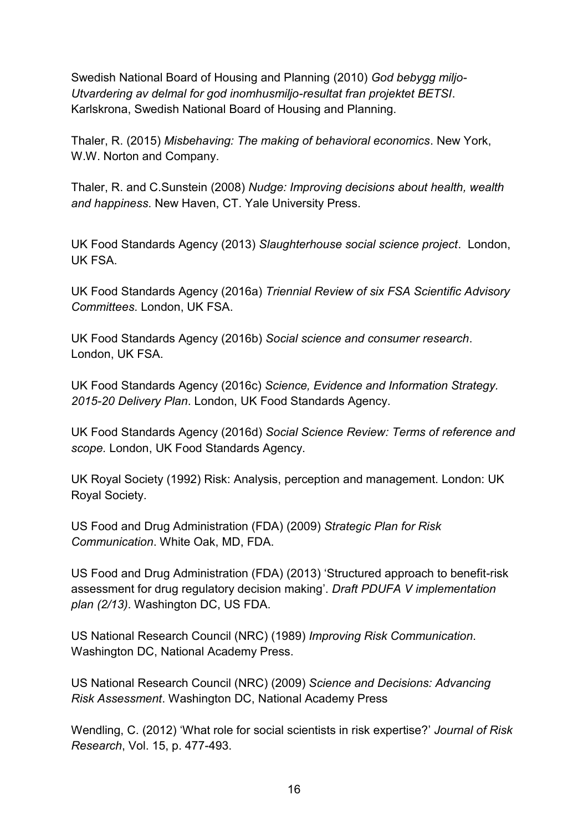Swedish National Board of Housing and Planning (2010) *God bebygg miljo-Utvardering av delmal for god inomhusmiljo-resultat fran projektet BETSI*. Karlskrona, Swedish National Board of Housing and Planning.

Thaler, R. (2015) *Misbehaving: The making of behavioral economics*. New York, W.W. Norton and Company.

Thaler, R. and C.Sunstein (2008) *Nudge: Improving decisions about health, wealth and happiness*. New Haven, CT. Yale University Press.

UK Food Standards Agency (2013) *Slaughterhouse social science project*. London, UK FSA.

UK Food Standards Agency (2016a) *Triennial Review of six FSA Scientific Advisory Committees*. London, UK FSA.

UK Food Standards Agency (2016b) *Social science and consumer research*. London, UK FSA.

UK Food Standards Agency (2016c) *Science, Evidence and Information Strategy. 2015-20 Delivery Plan*. London, UK Food Standards Agency.

UK Food Standards Agency (2016d) *Social Science Review: Terms of reference and scope.* London, UK Food Standards Agency.

UK Royal Society (1992) Risk: Analysis, perception and management. London: UK Royal Society.

US Food and Drug Administration (FDA) (2009) *Strategic Plan for Risk Communication*. White Oak, MD, FDA.

US Food and Drug Administration (FDA) (2013) 'Structured approach to benefit-risk assessment for drug regulatory decision making'. *Draft PDUFA V implementation plan (2/13)*. Washington DC, US FDA.

US National Research Council (NRC) (1989) *Improving Risk Communication*. Washington DC, National Academy Press.

US National Research Council (NRC) (2009) *Science and Decisions: Advancing Risk Assessment*. Washington DC, National Academy Press

Wendling, C. (2012) 'What role for social scientists in risk expertise?' *Journal of Risk Research*, Vol. 15, p. 477-493.